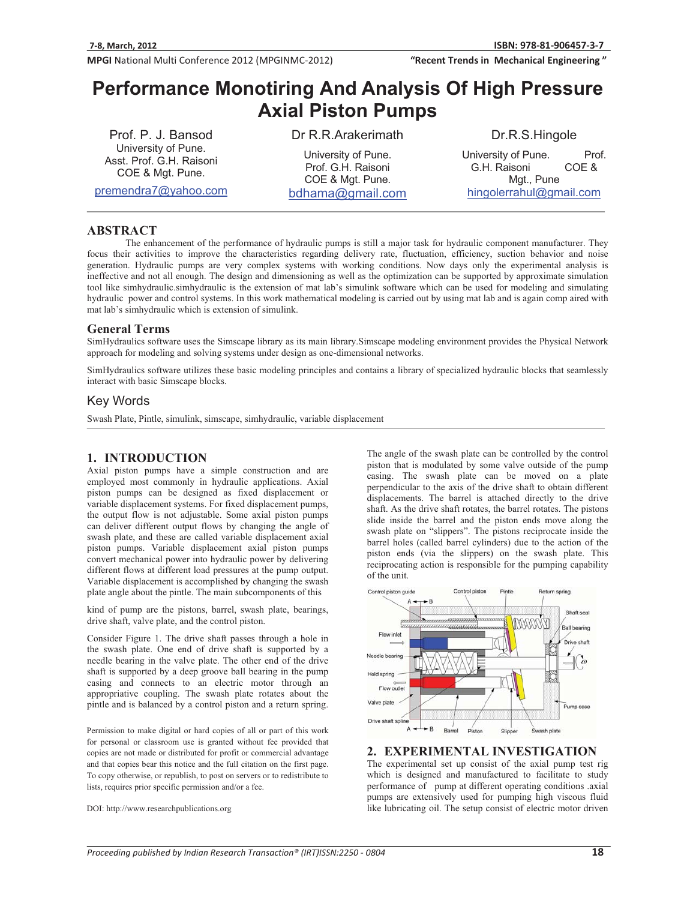"Recent Trends in Mechanical Engineering"

# **Performance Monotiring And Analysis Of High Pressure Axial Piston Pumps**-

Prof. P. J. Bansod University of Pune. Asst. Prof. G.H. Raisoni COE & Mgt. Pune.

premendra7@yahoo.com

Dr R.R.Arakerimath

University of Pune. Prof. G.H. Raisoni COE & Mgt. Pune. bdhama@gmail.com

#### Dr.R.S.Hingole

University of Pune. Prof. G.H. Raisoni COE & Mgt., Pune hingolerrahul@gmail.com

#### **ABSTRACT**

The enhancement of the performance of hydraulic pumps is still a major task for hydraulic component manufacturer. They focus their activities to improve the characteristics regarding delivery rate, fluctuation, efficiency, suction behavior and noise generation. Hydraulic pumps are very complex systems with working conditions. Now days only the experimental analysis is ineffective and not all enough. The design and dimensioning as well as the optimization can be supported by approximate simulation tool like simhydraulic.simhydraulic is the extension of mat lab's simulink software which can be used for modeling and simulating hydraulic power and control systems. In this work mathematical modeling is carried out by using mat lab and is again comp aired with mat lab's simhydraulic which is extension of simulink.

### **General Terms**

SimHydraulics software uses the Simscap**e** library as its main library.Simscape modeling environment provides the Physical Network approach for modeling and solving systems under design as one-dimensional networks.

SimHydraulics software utilizes these basic modeling principles and contains a library of specialized hydraulic blocks that seamlessly interact with basic Simscape blocks.

# Key Words

Swash Plate, Pintle, simulink, simscape, simhydraulic, variable displacement

### **1. INTRODUCTION**

Axial piston pumps have a simple construction and are employed most commonly in hydraulic applications. Axial piston pumps can be designed as fixed displacement or variable displacement systems. For fixed displacement pumps, the output flow is not adjustable. Some axial piston pumps can deliver different output flows by changing the angle of swash plate, and these are called variable displacement axial piston pumps. Variable displacement axial piston pumps convert mechanical power into hydraulic power by delivering different flows at different load pressures at the pump output. Variable displacement is accomplished by changing the swash plate angle about the pintle. The main subcomponents of this

kind of pump are the pistons, barrel, swash plate, bearings, drive shaft, valve plate, and the control piston.

Consider Figure 1. The drive shaft passes through a hole in the swash plate. One end of drive shaft is supported by a needle bearing in the valve plate. The other end of the drive shaft is supported by a deep groove ball bearing in the pump casing and connects to an electric motor through an appropriative coupling. The swash plate rotates about the pintle and is balanced by a control piston and a return spring.

Permission to make digital or hard copies of all or part of this work for personal or classroom use is granted without fee provided that copies are not made or distributed for profit or commercial advantage and that copies bear this notice and the full citation on the first page. To copy otherwise, or republish, to post on servers or to redistribute to lists, requires prior specific permission and/or a fee.

DOI: http://www.researchpublications.org

The angle of the swash plate can be controlled by the control piston that is modulated by some valve outside of the pump casing. The swash plate can be moved on a plate perpendicular to the axis of the drive shaft to obtain different displacements. The barrel is attached directly to the drive shaft. As the drive shaft rotates, the barrel rotates. The pistons slide inside the barrel and the piston ends move along the swash plate on "slippers". The pistons reciprocate inside the barrel holes (called barrel cylinders) due to the action of the piston ends (via the slippers) on the swash plate. This reciprocating action is responsible for the pumping capability of the unit.



### **2. EXPERIMENTAL INVESTIGATION**

The experimental set up consist of the axial pump test rig which is designed and manufactured to facilitate to study performance of pump at different operating conditions .axial pumps are extensively used for pumping high viscous fluid like lubricating oil. The setup consist of electric motor driven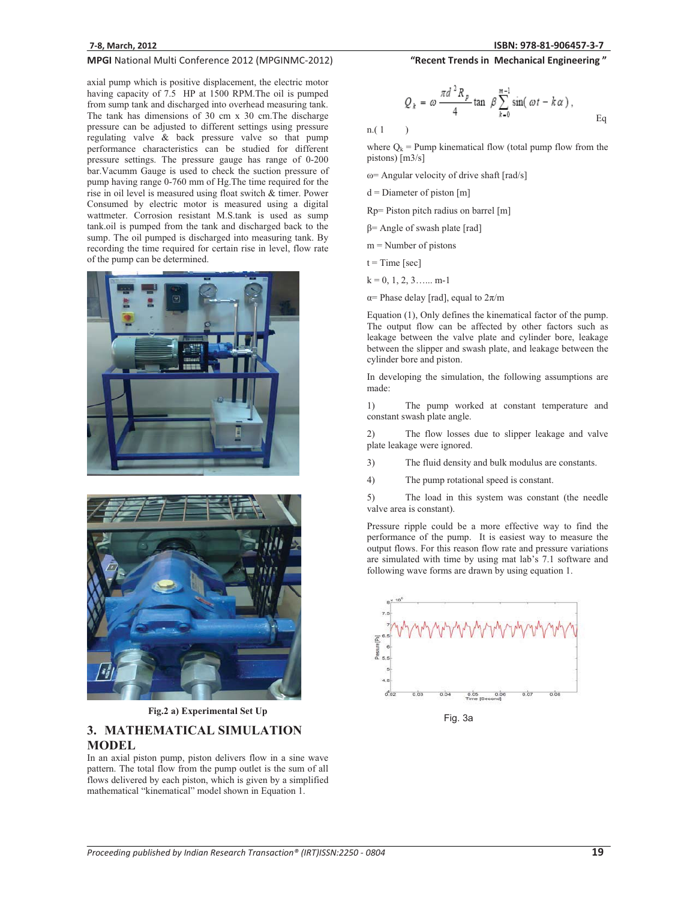axial pump which is positive displacement, the electric motor having capacity of 7.5 HP at 1500 RPM. The oil is pumped from sump tank and discharged into overhead measuring tank. The tank has dimensions of 30 cm x 30 cm.The discharge pressure can be adjusted to different settings using pressure regulating valve & back pressure valve so that pump performance characteristics can be studied for different pressure settings. The pressure gauge has range of 0-200 bar.Vacumm Gauge is used to check the suction pressure of pump having range 0-760 mm of Hg.The time required for the rise in oil level is measured using float switch & timer. Power Consumed by electric motor is measured using a digital wattmeter. Corrosion resistant M.S.tank is used as sump tank.oil is pumped from the tank and discharged back to the sump. The oil pumped is discharged into measuring tank. By recording the time required for certain rise in level, flow rate of the pump can be determined.





**Fig.2 a) Experimental Set Up**

# **3. MATHEMATICAL SIMULATION**

# **MODEL**

In an axial piston pump, piston delivers flow in a sine wave pattern. The total flow from the pump outlet is the sum of all flows delivered by each piston, which is given by a simplified mathematical "kinematical" model shown in Equation 1.

"Recent Trends in Mechanical Engineering"

$$
Q_k = \omega \frac{\pi d^2 R_p}{4} \tan \beta \sum_{k=0}^{m-1} \sin(\omega t - k\alpha),
$$
 Eq

n.( 1 )

where  $Q_k$  = Pump kinematical flow (total pump flow from the pistons) [m3/s]

 $\omega$  = Angular velocity of drive shaft [rad/s]

 $d =$  Diameter of piston [m]

Rp= Piston pitch radius on barrel [m]

 $\beta$ = Angle of swash plate [rad]

 $m =$ Number of pistons

 $t = Time [sec]$ 

 $k = 0, 1, 2, 3, \ldots$  m-1

 $\alpha$ = Phase delay [rad], equal to  $2\pi/m$ 

Equation (1), Only defines the kinematical factor of the pump. The output flow can be affected by other factors such as leakage between the valve plate and cylinder bore, leakage between the slipper and swash plate, and leakage between the cylinder bore and piston.

In developing the simulation, the following assumptions are made:

1) The pump worked at constant temperature and constant swash plate angle.

2) The flow losses due to slipper leakage and valve plate leakage were ignored.

3) The fluid density and bulk modulus are constants.

4) The pump rotational speed is constant.

5) The load in this system was constant (the needle valve area is constant).

Pressure ripple could be a more effective way to find the performance of the pump. It is easiest way to measure the output flows. For this reason flow rate and pressure variations are simulated with time by using mat lab's 7.1 software and following wave forms are drawn by using equation 1.



Fig. 3a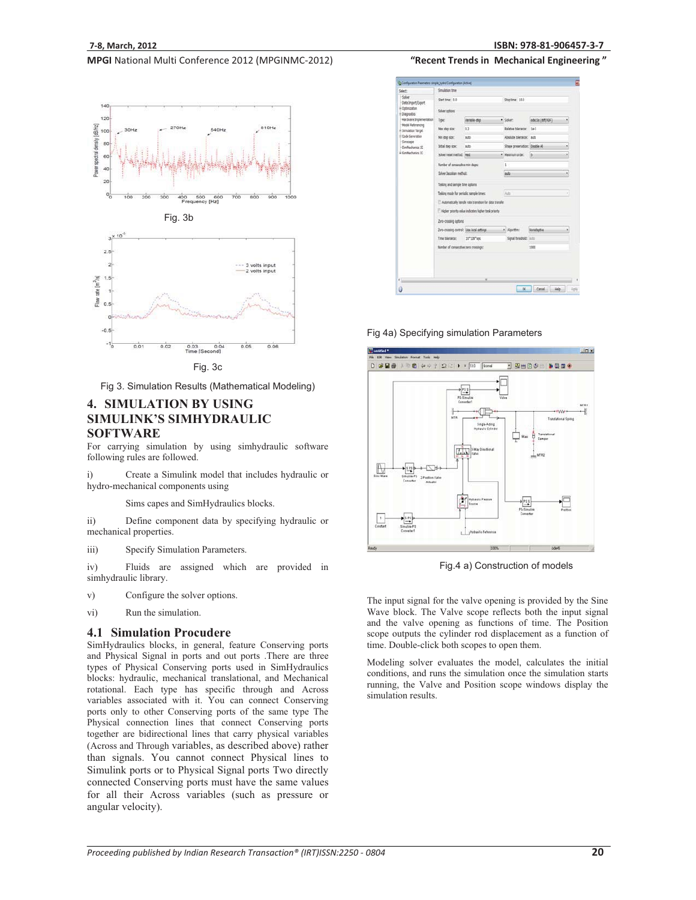



Fig 3. Simulation Results (Mathematical Modeling)

# **4. SIMULATION BY USING SIMULINK'S SIMHYDRAULIC SOFTWARE**

For carrying simulation by using simhydraulic software following rules are followed.

i) Create a Simulink model that includes hydraulic or hydro-mechanical components using

Sims capes and SimHydraulics blocks.

ii) Define component data by specifying hydraulic or mechanical properties.

iii) Specify Simulation Parameters.

iv) Fluids are assigned which are provided in simhydraulic library.

- v) Configure the solver options.
- vi) Run the simulation.

#### **4.1 Simulation Procudere**

SimHydraulics blocks, in general, feature Conserving ports and Physical Signal in ports and out ports .There are three types of Physical Conserving ports used in SimHydraulics blocks: hydraulic, mechanical translational, and Mechanical rotational. Each type has specific through and Across variables associated with it. You can connect Conserving ports only to other Conserving ports of the same type The Physical connection lines that connect Conserving ports together are bidirectional lines that carry physical variables (Across and Through variables, as described above) rather than signals. You cannot connect Physical lines to Simulink ports or to Physical Signal ports Two directly connected Conserving ports must have the same values for all their Across variables (such as pressure or angular velocity).

"Recent Trends in Mechanical Engineering"

| Simulation time                                       |                         |                                                                                                                                                     |                 |                                                                      |                                                                                         |  |
|-------------------------------------------------------|-------------------------|-----------------------------------------------------------------------------------------------------------------------------------------------------|-----------------|----------------------------------------------------------------------|-----------------------------------------------------------------------------------------|--|
| Start time: 0.0                                       |                         |                                                                                                                                                     | Stop time: 18.0 |                                                                      |                                                                                         |  |
| Solver aphons                                         |                         |                                                                                                                                                     |                 |                                                                      |                                                                                         |  |
| Type:                                                 | Variable-step           |                                                                                                                                                     |                 | ode15s (strt(IICF)                                                   |                                                                                         |  |
| Max step size:                                        | 0.2                     |                                                                                                                                                     |                 | $10 - 3$                                                             |                                                                                         |  |
| Min stap size:                                        | kits.                   |                                                                                                                                                     |                 |                                                                      |                                                                                         |  |
| Initial stag size:                                    | ads.                    |                                                                                                                                                     |                 |                                                                      | ۰                                                                                       |  |
|                                                       |                         |                                                                                                                                                     |                 | is.                                                                  | ٠                                                                                       |  |
| Number of consecutive min steps:                      |                         | t                                                                                                                                                   |                 |                                                                      |                                                                                         |  |
|                                                       | Solver Jacobian method: |                                                                                                                                                     | tulo            |                                                                      | ٠                                                                                       |  |
|                                                       |                         |                                                                                                                                                     |                 |                                                                      |                                                                                         |  |
| Tasking made for periodic sample times:               |                         | Add<br>é                                                                                                                                            |                 |                                                                      |                                                                                         |  |
| Adomatically handle rate transition for data transfer |                         |                                                                                                                                                     |                 |                                                                      |                                                                                         |  |
| Higher priority volue indicates higher task priority  |                         |                                                                                                                                                     |                 |                                                                      |                                                                                         |  |
| Zero-crossing options                                 |                         |                                                                                                                                                     |                 |                                                                      |                                                                                         |  |
|                                                       |                         |                                                                                                                                                     |                 | <b>Nonadaptive</b>                                                   | ٠                                                                                       |  |
| Time tolerance:                                       | 10"128"ees              |                                                                                                                                                     |                 |                                                                      |                                                                                         |  |
|                                                       |                         |                                                                                                                                                     |                 | 1900                                                                 |                                                                                         |  |
|                                                       |                         | Solver reset method: Fiest<br>Tasking and sample time options<br>Zero-crossing control: Use local pettings<br>Number of consecutive zero crossings: |                 | · Solver:<br>Relative tolerance:<br>· Naximum order:<br>· Algorithms | Absolute tolerance: auto<br>Shape preservation: Deable All<br>Signal threshold: initial |  |

Fig 4a) Specifying simulation Parameters



Fig.4 a) Construction of models

The input signal for the valve opening is provided by the Sine Wave block. The Valve scope reflects both the input signal and the valve opening as functions of time. The Position scope outputs the cylinder rod displacement as a function of time. Double-click both scopes to open them.

Modeling solver evaluates the model, calculates the initial conditions, and runs the simulation once the simulation starts running, the Valve and Position scope windows display the simulation results.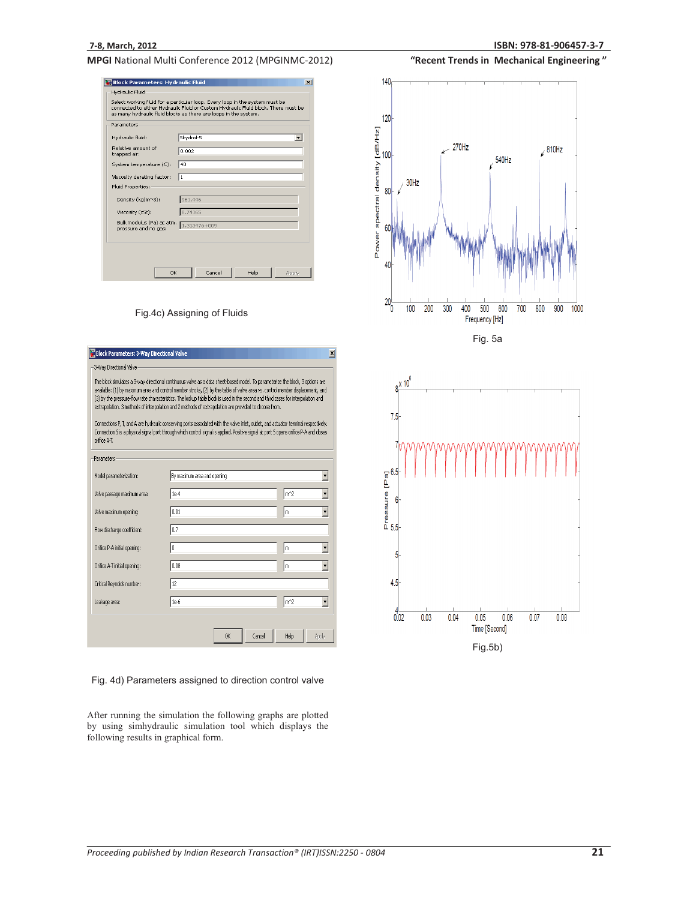| Parameters                                        |                  |
|---------------------------------------------------|------------------|
| Hydraulic fluid:                                  | Skydrol-5<br>▼   |
| Relative amount of<br>trapped air:                | 0.002            |
| System temperature (C):                           | 40               |
| Viscosity derating factor:                        | 1                |
| Fluid Properties:                                 |                  |
| Density (kg/m^3):                                 | 961.446          |
| Viscosity (cSt):                                  | 8.74165          |
| Bulk modulus (Pa) at atm.<br>pressure and no gas: | $1.31347e + 009$ |

Fig.4c) Assigning of Fluids

| <b>Block Parameters: 3-Way Directional Valve</b> |                                                                                                                                                                                                                                                                                                                                                                                                                                                                                                                                                                                                                                                                                                                                                                                                | $\vert x \vert$ |
|--------------------------------------------------|------------------------------------------------------------------------------------------------------------------------------------------------------------------------------------------------------------------------------------------------------------------------------------------------------------------------------------------------------------------------------------------------------------------------------------------------------------------------------------------------------------------------------------------------------------------------------------------------------------------------------------------------------------------------------------------------------------------------------------------------------------------------------------------------|-----------------|
| -3-Way Directional Valve                         |                                                                                                                                                                                                                                                                                                                                                                                                                                                                                                                                                                                                                                                                                                                                                                                                |                 |
| orifice A-T.                                     | The block simulates a 3-way directional continuous valve as a data sheet-based model. To parameterize the block, 3 options are<br>available: (1) by maximum area and control member stroke, (2) by the table of valve area vs. control member displacement, and<br>(3) by the pressure-flow rate characteristics. The lookup table block is used in the second and third cases for interpolation and<br>extrapolation. 3 methods of interpolation and 2 methods of extrapolation are provided to choose from.<br>Connections P. T. and A are hydraulic conserving ports associated with the valve inlet, outlet, and actuator terminal respectively.<br>Connection S is a physical signal port through which control signal is applied. Positive signal at port S opens orifice P-A and closes |                 |
| Parameters-                                      |                                                                                                                                                                                                                                                                                                                                                                                                                                                                                                                                                                                                                                                                                                                                                                                                |                 |
| Model parameterization:                          | By maximum area and opening                                                                                                                                                                                                                                                                                                                                                                                                                                                                                                                                                                                                                                                                                                                                                                    |                 |
| Valve passage maximum area:                      | $1e-4$                                                                                                                                                                                                                                                                                                                                                                                                                                                                                                                                                                                                                                                                                                                                                                                         | $m^2$           |
| Valve maximum opening:                           | 0.01                                                                                                                                                                                                                                                                                                                                                                                                                                                                                                                                                                                                                                                                                                                                                                                           | m               |
| Flow discharge coefficient:                      | 0.7                                                                                                                                                                                                                                                                                                                                                                                                                                                                                                                                                                                                                                                                                                                                                                                            |                 |
| Orifice P-A initial opening:                     | o                                                                                                                                                                                                                                                                                                                                                                                                                                                                                                                                                                                                                                                                                                                                                                                              | m               |
| Orifice A-T initial opening:                     | 0.08                                                                                                                                                                                                                                                                                                                                                                                                                                                                                                                                                                                                                                                                                                                                                                                           | m               |
| Critical Reynolds number:                        | 12                                                                                                                                                                                                                                                                                                                                                                                                                                                                                                                                                                                                                                                                                                                                                                                             |                 |
| Leakage area:                                    | $1e-6$                                                                                                                                                                                                                                                                                                                                                                                                                                                                                                                                                                                                                                                                                                                                                                                         | $m^2$           |
|                                                  | Cancel<br>0K                                                                                                                                                                                                                                                                                                                                                                                                                                                                                                                                                                                                                                                                                                                                                                                   | Help<br>Apply   |

Fig. 4d) Parameters assigned to direction control valve

After running the simulation the following graphs are plotted by using simhydraulic simulation tool which displays the following results in graphical form.

"Recent Trends in Mechanical Engineering"



Fig. 5a